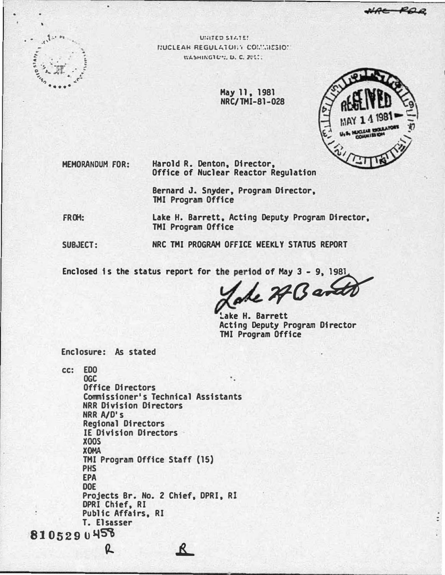

**UNITED STATES** NUCLEAN REGULATORY COMMISSION WASHINGTON, D. C. 2011.

> May 11, 1981 NRC/TMI-81-028



**MEMORANDUM FOR:** 

Harold R. Denton, Director, Office of Nuclear Reactor Regulation

Bernard J. Snyder, Program Director, **TMI Program Office** 

FROM:

Lake H. Barrett, Acting Deputy Program Director, **TMI Program Office** 

SUBJECT:

NRC TMI PROGRAM OFFICE WEEKLY STATUS REPORT

Enclosed is the status report for the period of May 3 - 9, 1981,

 $.77$ Ban

Lake H. Barrett Acting Deputy Program Director **TMI Program Office** 

Enclosure: As stated

cc: EDO **OGC Office Directors** Commissioner's Technical Assistants **NRR Division Directors** NRR A/D's **Regional Directors** IE Division Directors **X00S XOMA** TMI Program Office Staff (15) **PHS EPA DOE** Projects Br. No. 2 Chief, DPRI. RI DPRI Chief, RI Public Affairs, RI T. Elsasser 8105290458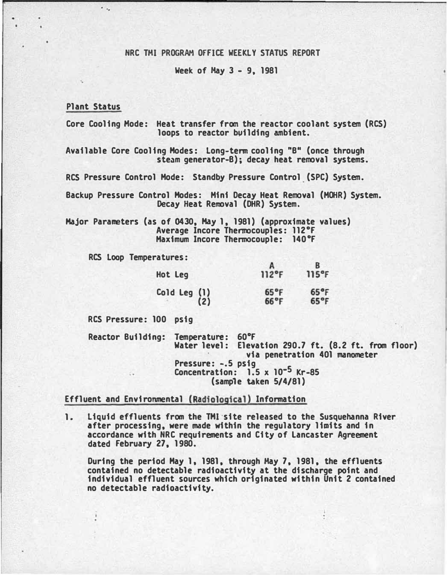## NRC THI PROGRAM OFFICE WEEKLY STATUS REPORT

Week of May  $3 - 9$ , 1981

## Plant Status

...

Core Cooling Mode: Heat transfer from the reactor coolant system (RCS) loops to reactor building ambient.

Available Core Cooling Hodes: Long-term cooling "B" (once through steam generator-B); decay heat removal systems.

RCS Pressure Control Mode: Standby Pressure Control (SPC} System.

Backup Pressure Control Hodes: Mini Decay Heat Removal (MOHR) System. Decay Heat Removal (DHR) System.

Major Parameters (as of 0430, Hay 1, 1981) (approximate values) Average Incore Thermocouples: ll2°F Maximum Incore Thermocouple: 140°F

RCS Loop Temperatures:

| Hot Leg                 | $112^{\circ}$ F                  | 115°F                            |
|-------------------------|----------------------------------|----------------------------------|
| Cold Leg $(1)$<br>$(2)$ | $65^{\circ}$ F<br>$66^{\circ}$ F | $65^{\circ}$ F<br>$65^{\circ}$ F |

RCS Pressure: 100 psig

Reactor Building: Temperature: 60°F Water level: Elevation 290.7 ft. (8.2 ft. from floor) via penetration 401 manometer Pressure: -.5 psig<br>Concentration: 1.5 x 10<sup>-5</sup> Kr-85 (sample taken 5/4/81)

# Effluent and Environmental (Radiological) Information

1. Liquid effluents from the THI·site released to the Susquehanna River after processing, were made within the regulatory limits and in accordance with NRC requirements and City of Lancaster Agreement dated February 27, 1980.

During the period Hay 1, 1981, through Hay 7, 1981, the effluents contained no detectable radioactivity at the discharge point and individual effluent sources which originated within Unit 2 contained no detectable radioactivity.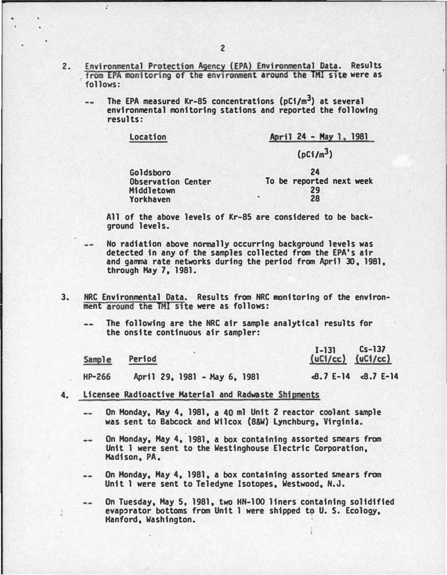- 2. . from EPA monitoring of the environment around the TMI site were as Environmental Protection Agency (EPA) Environmental Data. Results follows:
	- The EPA measured Kr-85 concentrations  $(pl/m<sup>3</sup>)$  at several environmental monitoring stations.and reported the following results:

| Location |  | April 24 - May 1, 1981<br>$(pC1/m^3)$ |  |
|----------|--|---------------------------------------|--|
|          |  |                                       |  |

All of the above levels of Kr-85 are considered to be background levels.

- No radiation above normally occurring background levels was detected in any of the samples collected from the EPA's air and gamma rate networks during the period from April 30, 1981, through Hay 7, 1981.
- 3. NRC Environmental Data. Results from NRC monitoring of the environment around the TMI site were as follows:
	- The following are the NRC air sample analytical results for the onsite continuous air sampler:

|          | Sample Period                | $I - 131$ Cs-137<br>(uCi/cc) (uCi/cc) |
|----------|------------------------------|---------------------------------------|
| $HP-266$ | April 29, 1981 - May 6, 1981 | $-8.7 E-14 - 8.7 E-14$                |

- 4. Licensee Radioactive Material and Radwaste Shipments
	- On Monday, Hay 4, 1981, a 40 ml Unit 2 reactor coolant sample -was sent to Babcock and Wilcox (8&W) Lynchburg, Virginia.
	- On Monday, May 4, 1981, a box containing assorted smears from  $-$ Unit 1 were sent to the Westinghouse Electric Corporation, Madison, PA.
	- On Monday, Hay 4, 1981, a box containing assorted smears from  $\frac{1}{2}$ Unit 1 were sent to Teledyne Isotopes, Westwood, N.J.
		- On Tuesday, May 5, 1981, two HN-100 liners containing solidified evaporator bottoms from Unit 1 were shipped to U. S. Ecology, Hanford, Washington.

 $\mathbf{r}$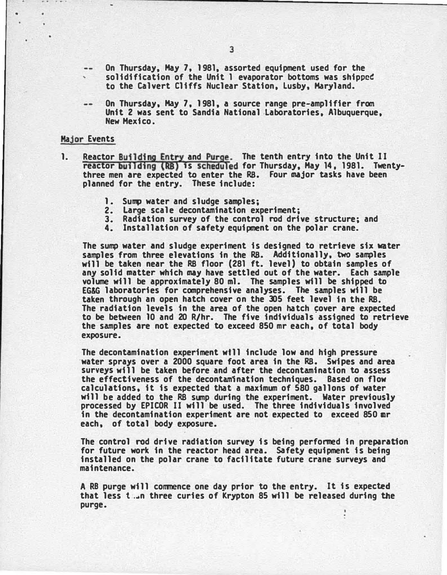- On Thursday, Hay 7. 1981, assorted equipment used for the  $\frac{1}{2}$ solidification of the Unit I evaporator bottoms was shipped to the Calvert Cliffs Nuclear Station. lusby, Maryland.
- On Thursday, Hay 7. 1981, a source range pre-amplifier from Unit 2 was sent to Sandia National Laboratories. Albuquerque. Hew Mexico.

## Major Events

- 1. Reactor Building Entry and Purge. The tenth entry into the Unit II reactor building (RB) 1s scheduled for Thursday, Hay 14, 1981. Twentythree men are expected to enter the RS. Four major tasks have been planned for the entry. These include:
	- 1. Sump water and sludge samples;
	- 2. Large scale decontamination experiment;
	- 3. Radiation survey of the control rod drive structure; and
	- 4. Installation of safety equipment on the polar crane.

The sump water and sludge experiment is designed to retrieve six water samples from three elevations in the RS. Additionally. two samples will be taken near the RB floor (281 ft. level) to obtain samples of any solid matter. which may have settled out of the water. Each sample volume will be approximately 80 ml. The samples will be shipped to EG&G laboratories for comprehensive analyses. The samples will be taken through an open hatch cover on the 305 feet level in the RB. The radiation levels in the area of the open hatch cover are expected to be between 10 and 20 R/hr. The five individuals assigned to retrieve the samples are not expected to exceed 850 mr each. of total body exposure.

The decontamination experiment wfll include low and high pressure ·water sprays over a 2000 square foot area in the RS. Swipes and area surveys will be taken before and after the decontamination to assess the effectiveness of the decontamination techniques. Based on flow calculations. it is expected that a maximum of 580 gallons of water will be added to the RB sump during the experiment. Water previously processed by EPICOR II will be used. The three individuals involved in the decontamination experiment are not expected to exceed 850 mr each, of total body exposure.

The control rod drive radiation survey is being performed in preparation for future work in the reactor head area. Safety equipment is being installed on the polar crane to facilitate future crane surveys and maintenance.

A RB purge will commence one day prior to the entry. It is expected that less t .�n three curies of Krypton 85 will be released during the purge.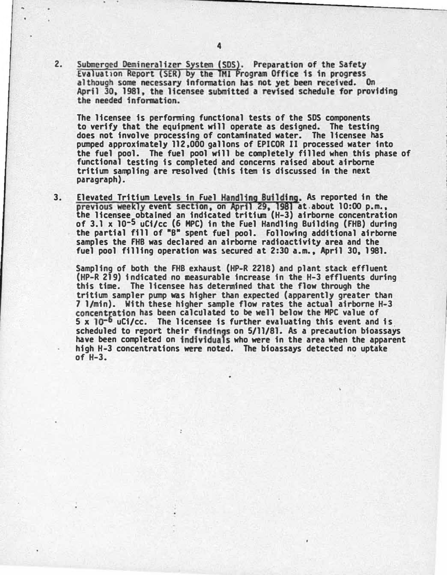Submerged Demineralizer System (SDS). Preparation of the Safety 2. Evaluation Report (SER) by the TMI Program Office is in progress although some necessary information has not yet been received. On April 30, 1981, the licensee submitted a revised schedule for providing the needed information.

The licensee is performing functional tests of the SDS components to verify that the equipment will operate as designed. The testing does not involve processing of contaminated water. The licensee has pumped approximately 112.000 gallons of EPICOR II processed water into the fuel pool. The fuel po�l will be completely filled when this phase of functional testing is completed and concerns raised about airborne tritium sampling are resolved (this item is discussed in the next paragraph).

3. Elevated Tritium Levels in Fuel Handling Building. As reported in the previous weekly event section, on April 29, 1981 at about 10:00 p.m., the licensee obtained an indicated tritium (H-3) airborne concentration of 3.1 x l0-5 uCi/cc (6 HPC) in the Fuel Handling Building (FHB) during the partial fill of "B" spent fuel pool. Following additional airborne samples the FHB was declared an airborne radioactivity area and the fuel pool filling operation was �ecured at 2:30 a.m., April 30, 1981.

Sampling of both the FHB exhaust (HP-R 2218) and plant stack effluent (HP-R 219) indicated no measurable increase in the H-3 effluents during this time. The licensee has determined that the flow through the tritium sampler pump was higher than expected (apparently greater than 7 1/min). With these higher sample flow rates the actual airborne H-3 concentration has been calcdlated to be well below the HPC value of  $5 \times 10^{-6}$  uCi/cc. The licensee is further evaluating this event and is. scheduled to report their findings on 5/11/81. As a precaution bioassays have been completed on individuals who were in the area when the apparent high H-3 concentrations were noted. The bioassays detected no uptake of H-3.